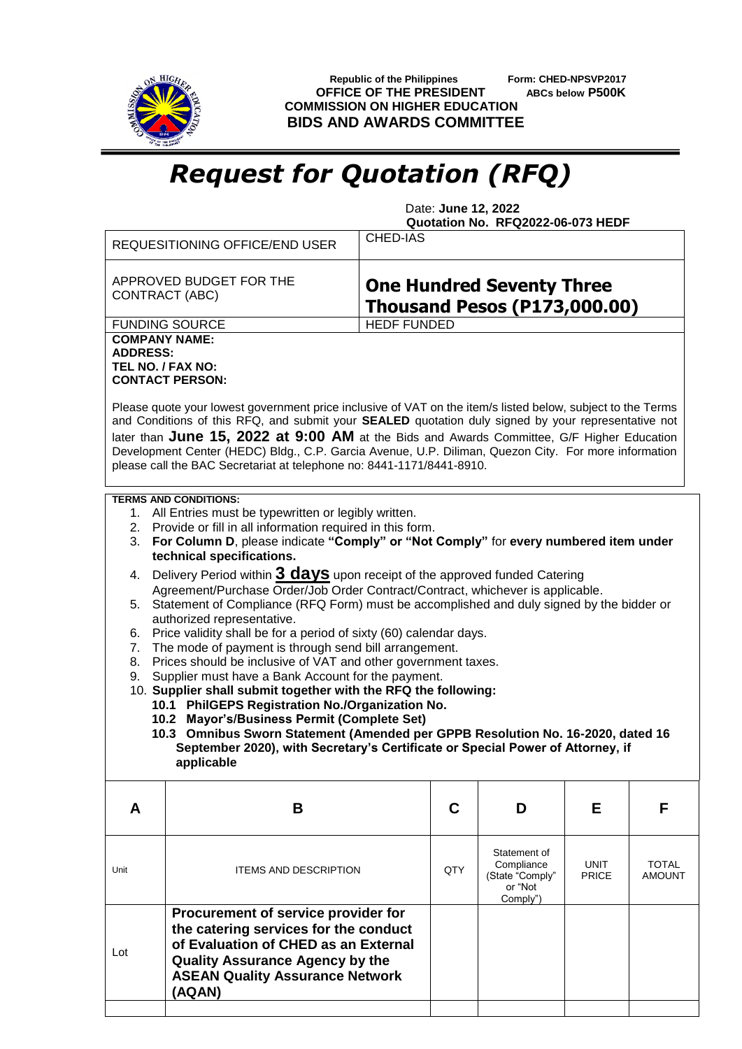

 **Republic of the Philippines Form: CHED-NPSVP2017 OFFICE OF THE PRESIDENT ABCs below P500K COMMISSION ON HIGHER EDUCATION BIDS AND AWARDS COMMITTEE**

## *Request for Quotation (RFQ)*

 Date: **June 12, 2022 Quotation No. RFQ2022-06-073 HEDF**

|                                                                                                                                                                                                                                                                                                                                                                                                                                                                                                                                                                                                                                                                | CHED-IAS<br><b>REQUESITIONING OFFICE/END USER</b>                                                                                                                                                                  |  |     |                                                                      |                             |                 |  |
|----------------------------------------------------------------------------------------------------------------------------------------------------------------------------------------------------------------------------------------------------------------------------------------------------------------------------------------------------------------------------------------------------------------------------------------------------------------------------------------------------------------------------------------------------------------------------------------------------------------------------------------------------------------|--------------------------------------------------------------------------------------------------------------------------------------------------------------------------------------------------------------------|--|-----|----------------------------------------------------------------------|-----------------------------|-----------------|--|
| APPROVED BUDGET FOR THE<br><b>One Hundred Seventy Three</b><br>CONTRACT (ABC)<br><b>Thousand Pesos (P173,000.00)</b>                                                                                                                                                                                                                                                                                                                                                                                                                                                                                                                                           |                                                                                                                                                                                                                    |  |     |                                                                      |                             |                 |  |
| <b>HEDF FUNDED</b><br><b>FUNDING SOURCE</b>                                                                                                                                                                                                                                                                                                                                                                                                                                                                                                                                                                                                                    |                                                                                                                                                                                                                    |  |     |                                                                      |                             |                 |  |
| <b>COMPANY NAME:</b><br><b>ADDRESS:</b><br>TEL NO. / FAX NO:<br><b>CONTACT PERSON:</b><br>Please quote your lowest government price inclusive of VAT on the item/s listed below, subject to the Terms<br>and Conditions of this RFQ, and submit your SEALED quotation duly signed by your representative not<br>later than June 15, 2022 at 9:00 AM at the Bids and Awards Committee, G/F Higher Education<br>Development Center (HEDC) Bldg., C.P. Garcia Avenue, U.P. Diliman, Quezon City. For more information<br>please call the BAC Secretariat at telephone no: 8441-1171/8441-8910.                                                                    |                                                                                                                                                                                                                    |  |     |                                                                      |                             |                 |  |
| <b>TERMS AND CONDITIONS:</b><br>1. All Entries must be typewritten or legibly written.<br>2. Provide or fill in all information required in this form.<br>For Column D, please indicate "Comply" or "Not Comply" for every numbered item under<br>3.<br>technical specifications.                                                                                                                                                                                                                                                                                                                                                                              |                                                                                                                                                                                                                    |  |     |                                                                      |                             |                 |  |
| Delivery Period within 3 days upon receipt of the approved funded Catering<br>4.<br>Agreement/Purchase Order/Job Order Contract/Contract, whichever is applicable.<br>Statement of Compliance (RFQ Form) must be accomplished and duly signed by the bidder or<br>5.                                                                                                                                                                                                                                                                                                                                                                                           |                                                                                                                                                                                                                    |  |     |                                                                      |                             |                 |  |
| authorized representative.<br>Price validity shall be for a period of sixty (60) calendar days.<br>6.<br>The mode of payment is through send bill arrangement.<br>7.<br>Prices should be inclusive of VAT and other government taxes.<br>8.<br>Supplier must have a Bank Account for the payment.<br>9.<br>10. Supplier shall submit together with the RFQ the following:<br>10.1 PhilGEPS Registration No./Organization No.<br>10.2 Mayor's/Business Permit (Complete Set)<br>10.3 Omnibus Sworn Statement (Amended per GPPB Resolution No. 16-2020, dated 16<br>September 2020), with Secretary's Certificate or Special Power of Attorney, if<br>applicable |                                                                                                                                                                                                                    |  |     |                                                                      |                             |                 |  |
| A                                                                                                                                                                                                                                                                                                                                                                                                                                                                                                                                                                                                                                                              | В                                                                                                                                                                                                                  |  | C   | D                                                                    | Е                           | F               |  |
| Unit                                                                                                                                                                                                                                                                                                                                                                                                                                                                                                                                                                                                                                                           | <b>ITEMS AND DESCRIPTION</b>                                                                                                                                                                                       |  | QTY | Statement of<br>Compliance<br>(State "Comply"<br>or "Not<br>Comply") | <b>UNIT</b><br><b>PRICE</b> | TOTAL<br>AMOUNT |  |
| Lot                                                                                                                                                                                                                                                                                                                                                                                                                                                                                                                                                                                                                                                            | Procurement of service provider for<br>the catering services for the conduct<br>of Evaluation of CHED as an External<br><b>Quality Assurance Agency by the</b><br><b>ASEAN Quality Assurance Network</b><br>(AQAN) |  |     |                                                                      |                             |                 |  |
|                                                                                                                                                                                                                                                                                                                                                                                                                                                                                                                                                                                                                                                                |                                                                                                                                                                                                                    |  |     |                                                                      |                             |                 |  |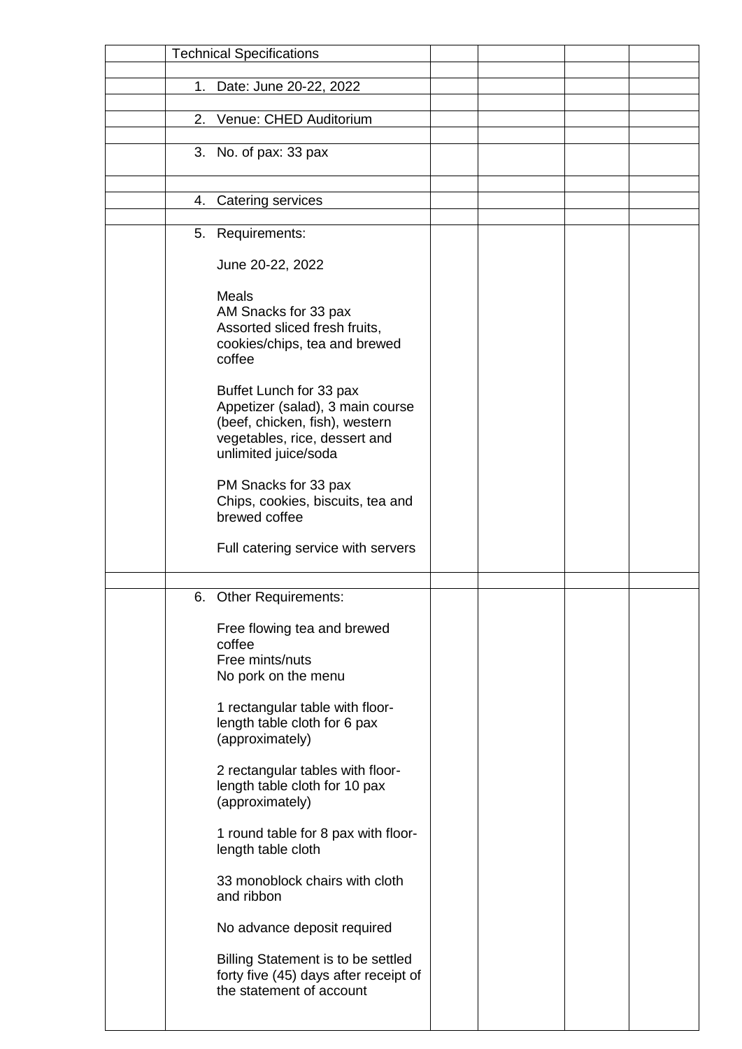|    | <b>Technical Specifications</b>       |  |  |
|----|---------------------------------------|--|--|
|    |                                       |  |  |
| 1. | Date: June 20-22, 2022                |  |  |
|    |                                       |  |  |
| 2. | Venue: CHED Auditorium                |  |  |
|    |                                       |  |  |
|    | 3. No. of pax: 33 pax                 |  |  |
|    |                                       |  |  |
|    |                                       |  |  |
| 4. | Catering services                     |  |  |
|    |                                       |  |  |
|    | 5. Requirements:                      |  |  |
|    |                                       |  |  |
|    | June 20-22, 2022                      |  |  |
|    | <b>Meals</b>                          |  |  |
|    | AM Snacks for 33 pax                  |  |  |
|    | Assorted sliced fresh fruits,         |  |  |
|    | cookies/chips, tea and brewed         |  |  |
|    | coffee                                |  |  |
|    |                                       |  |  |
|    | Buffet Lunch for 33 pax               |  |  |
|    | Appetizer (salad), 3 main course      |  |  |
|    | (beef, chicken, fish), western        |  |  |
|    | vegetables, rice, dessert and         |  |  |
|    | unlimited juice/soda                  |  |  |
|    | PM Snacks for 33 pax                  |  |  |
|    | Chips, cookies, biscuits, tea and     |  |  |
|    | brewed coffee                         |  |  |
|    |                                       |  |  |
|    | Full catering service with servers    |  |  |
|    |                                       |  |  |
|    |                                       |  |  |
| 6. | <b>Other Requirements:</b>            |  |  |
|    |                                       |  |  |
|    | Free flowing tea and brewed           |  |  |
|    | coffee<br>Free mints/nuts             |  |  |
|    | No pork on the menu                   |  |  |
|    |                                       |  |  |
|    | 1 rectangular table with floor-       |  |  |
|    | length table cloth for 6 pax          |  |  |
|    | (approximately)                       |  |  |
|    |                                       |  |  |
|    | 2 rectangular tables with floor-      |  |  |
|    | length table cloth for 10 pax         |  |  |
|    | (approximately)                       |  |  |
|    |                                       |  |  |
|    | 1 round table for 8 pax with floor-   |  |  |
|    | length table cloth                    |  |  |
|    | 33 monoblock chairs with cloth        |  |  |
|    | and ribbon                            |  |  |
|    |                                       |  |  |
|    | No advance deposit required           |  |  |
|    |                                       |  |  |
|    | Billing Statement is to be settled    |  |  |
|    | forty five (45) days after receipt of |  |  |
|    | the statement of account              |  |  |
|    |                                       |  |  |
|    |                                       |  |  |